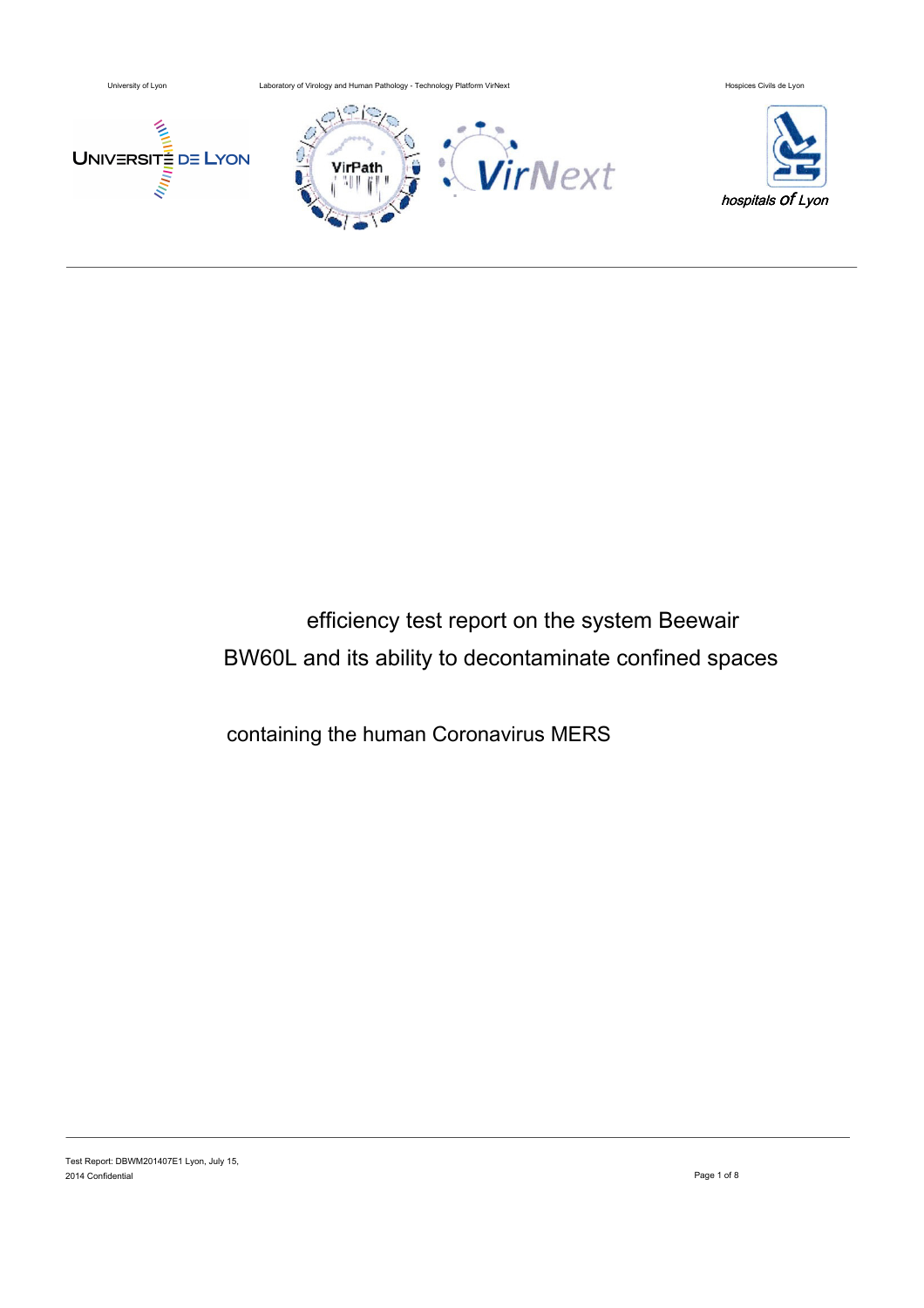

# efficiency test report on the system Beewair BW60L and its ability to decontaminate confined spaces

containing the human Coronavirus MERS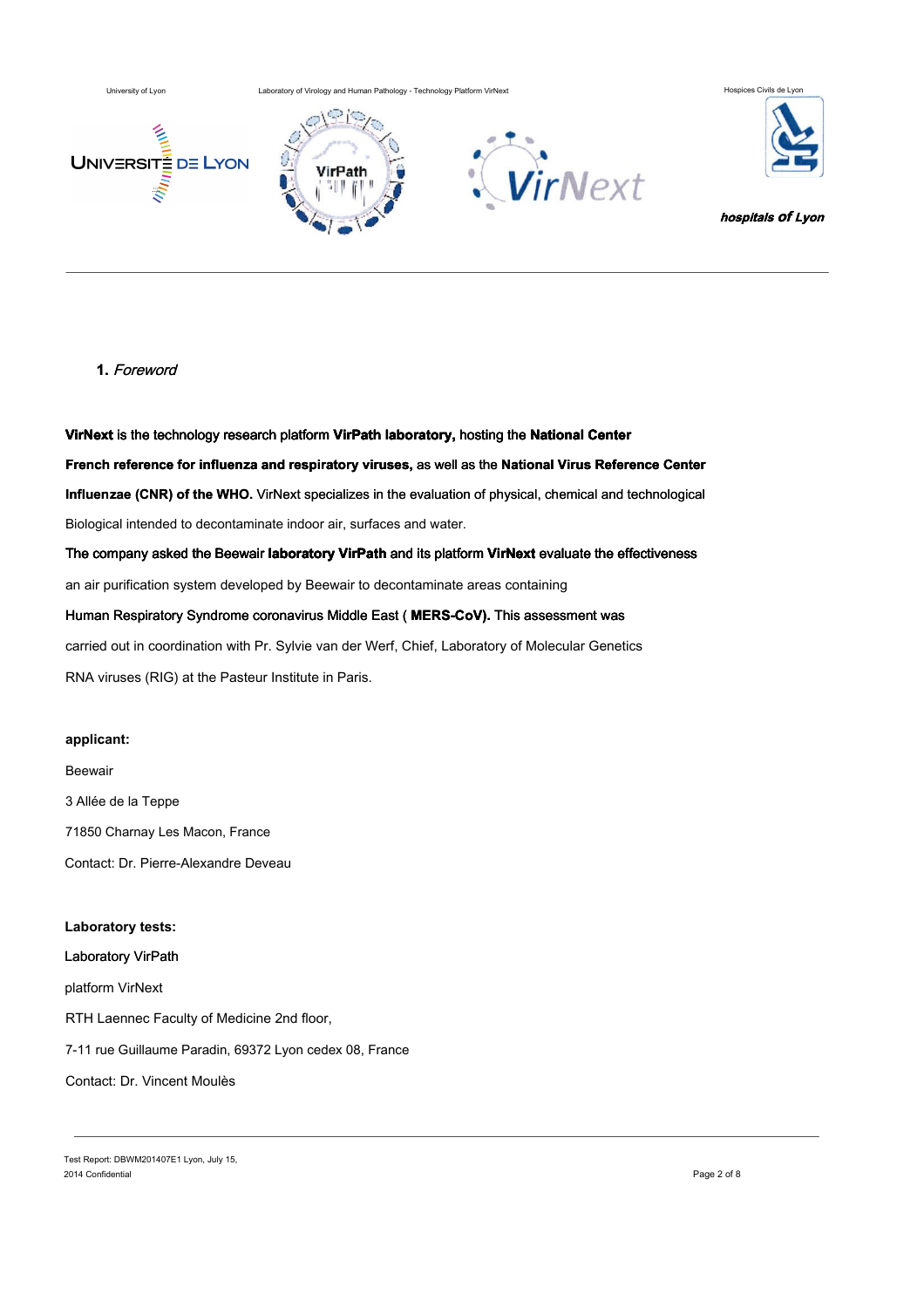University of Lyon Laboratory of Virology and Human Pathology - Technology Platform VirNext Hospices Civils de L







## **1.** Foreword

**VirNext** is the technology research platform **VirPath laboratory,** hosting the **National Center French reference for influenza and respiratory viruses,** as well as the **National Virus Reference Center Influenzae (CNR) of the WHO.** VirNext specializes in the evaluation of physical, chemical and technological Biological intended to decontaminate indoor air, surfaces and water. The company asked the Beewair **laboratory VirPath** and its platform **VirNext** evaluate the effectiveness an air purification system developed by Beewair to decontaminate areas containing Human Respiratory Syndrome coronavirus Middle East ( **MERS-CoV).** This assessment was carried out in coordination with Pr. Sylvie van der Werf, Chief, Laboratory of Molecular Genetics

RNA viruses (RIG) at the Pasteur Institute in Paris.

#### **applicant:**

Beewair 3 Allée de la Teppe 71850 Charnay Les Macon, France Contact: Dr. Pierre-Alexandre Deveau

**Laboratory tests:**  Laboratory VirPath platform VirNext RTH Laennec Faculty of Medicine 2nd floor, 7-11 rue Guillaume Paradin, 69372 Lyon cedex 08, France Contact: Dr. Vincent Moulès

Test Report: DBWM201407E1 Lyon, July 15, 2014 Confidential Page 2 of 8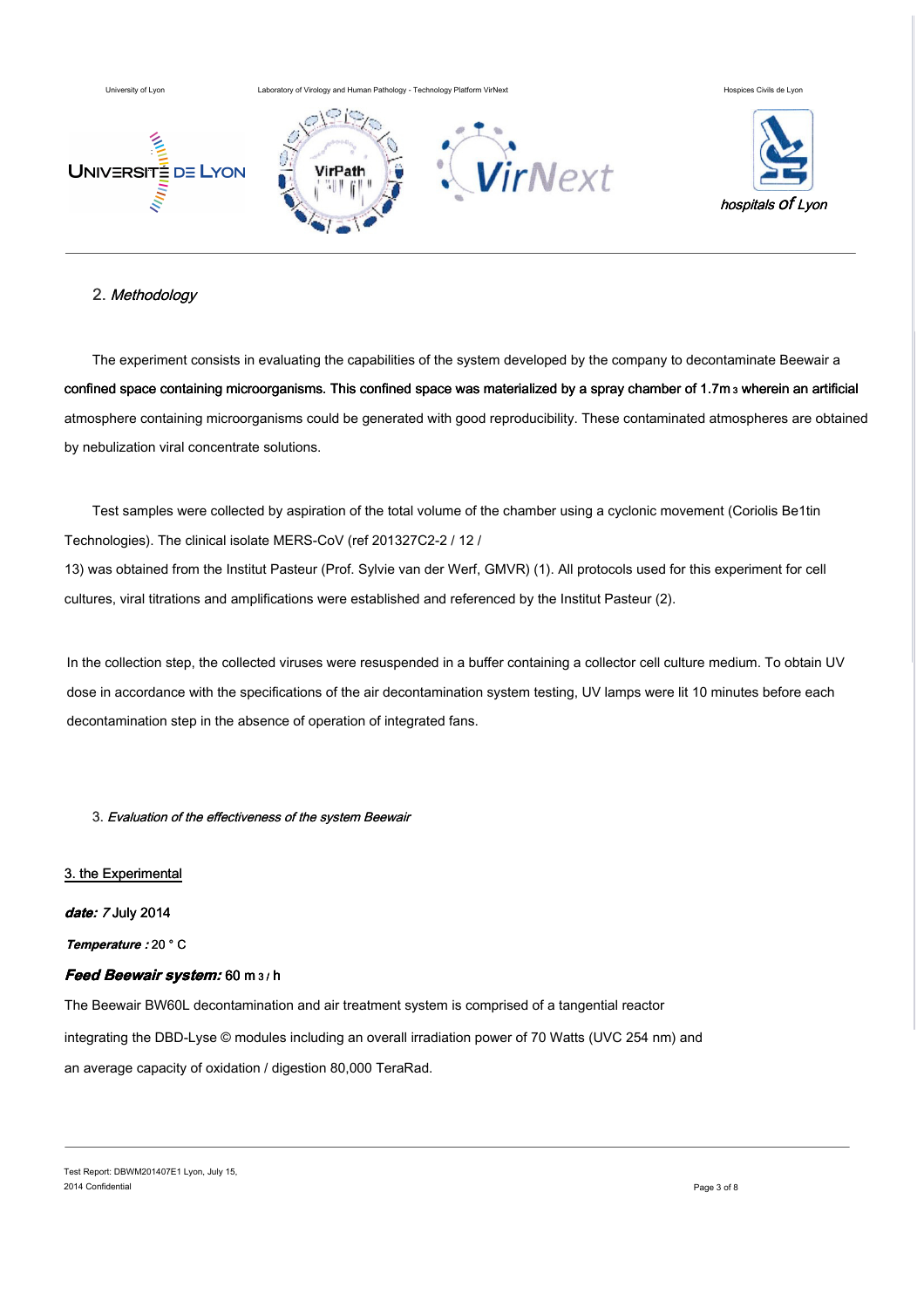

# 2. Methodology

The experiment consists in evaluating the capabilities of the system developed by the company to decontaminate Beewair a confined space containing microorganisms. This confined space was materialized by a spray chamber of 1.7m 3 wherein an artificial atmosphere containing microorganisms could be generated with good reproducibility. These contaminated atmospheres are obtained by nebulization viral concentrate solutions.

Test samples were collected by aspiration of the total volume of the chamber using a cyclonic movement (Coriolis Be1tin Technologies). The clinical isolate MERS-CoV (ref 201327C2-2 / 12 /

13) was obtained from the Institut Pasteur (Prof. Sylvie van der Werf, GMVR) (1). All protocols used for this experiment for cell cultures, viral titrations and amplifications were established and referenced by the Institut Pasteur (2).

In the collection step, the collected viruses were resuspended in a buffer containing a collector cell culture medium. To obtain UV dose in accordance with the specifications of the air decontamination system testing, UV lamps were lit 10 minutes before each decontamination step in the absence of operation of integrated fans.

3. Evaluation of the effectiveness of the system Beewair

#### 3. the Experimental

#### **date:** 7 July 2014

**Temperature :** 20 ° C

# **Feed Beewair system:** 60 m 3 / h

The Beewair BW60L decontamination and air treatment system is comprised of a tangential reactor integrating the DBD-Lyse © modules including an overall irradiation power of 70 Watts (UVC 254 nm) and an average capacity of oxidation / digestion 80,000 TeraRad.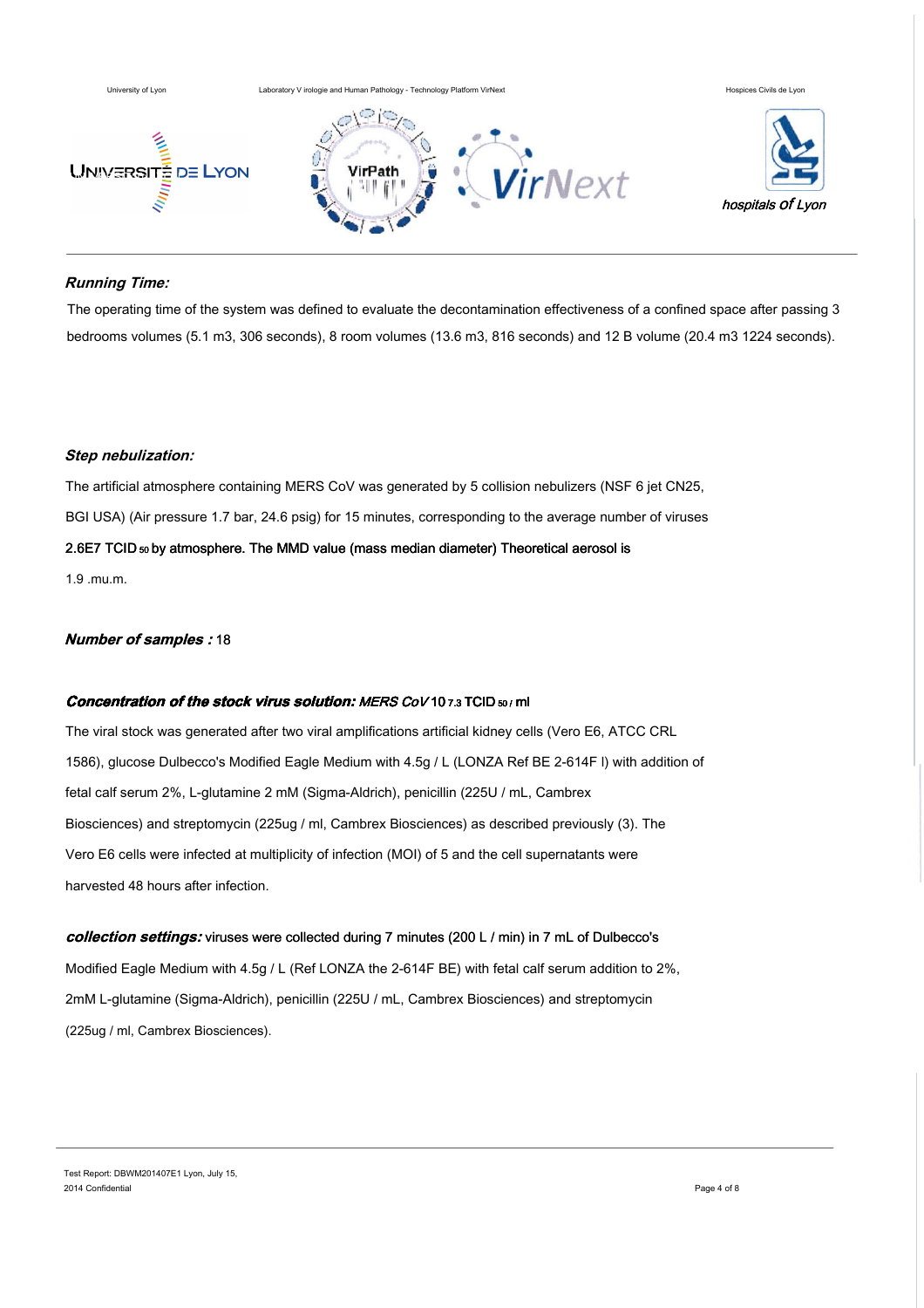

# **Running Time:**

The operating time of the system was defined to evaluate the decontamination effectiveness of a confined space after passing 3 bedrooms volumes (5.1 m3, 306 seconds), 8 room volumes (13.6 m3, 816 seconds) and 12 B volume (20.4 m3 1224 seconds).

#### **Step nebulization:**

The artificial atmosphere containing MERS CoV was generated by 5 collision nebulizers (NSF 6 jet CN25, BGI USA) (Air pressure 1.7 bar, 24.6 psig) for 15 minutes, corresponding to the average number of viruses 2.6E7 TCID 50 by atmosphere. The MMD value (mass median diameter) Theoretical aerosol is 1.9 .mu.m.

## **Number of samples :** 18

#### **Concentration of the stock virus solution: MERS CoV 10 7.3 TCID 50/ ml**

The viral stock was generated after two viral amplifications artificial kidney cells (Vero E6, ATCC CRL 1586), glucose Dulbecco's Modified Eagle Medium with 4.5g / L (LONZA Ref BE 2-614F l) with addition of fetal calf serum 2%, L-glutamine 2 mM (Sigma-Aldrich), penicillin (225U / mL, Cambrex Biosciences) and streptomycin (225ug / ml, Cambrex Biosciences) as described previously (3). The Vero E6 cells were infected at multiplicity of infection (MOI) of 5 and the cell supernatants were harvested 48 hours after infection.

#### **collection settings:** viruses were collected during 7 minutes (200 L / min) in 7 mL of Dulbecco's

Modified Eagle Medium with 4.5g / L (Ref LONZA the 2-614F BE) with fetal calf serum addition to 2%, 2mM L-glutamine (Sigma-Aldrich), penicillin (225U / mL, Cambrex Biosciences) and streptomycin (225ug / ml, Cambrex Biosciences).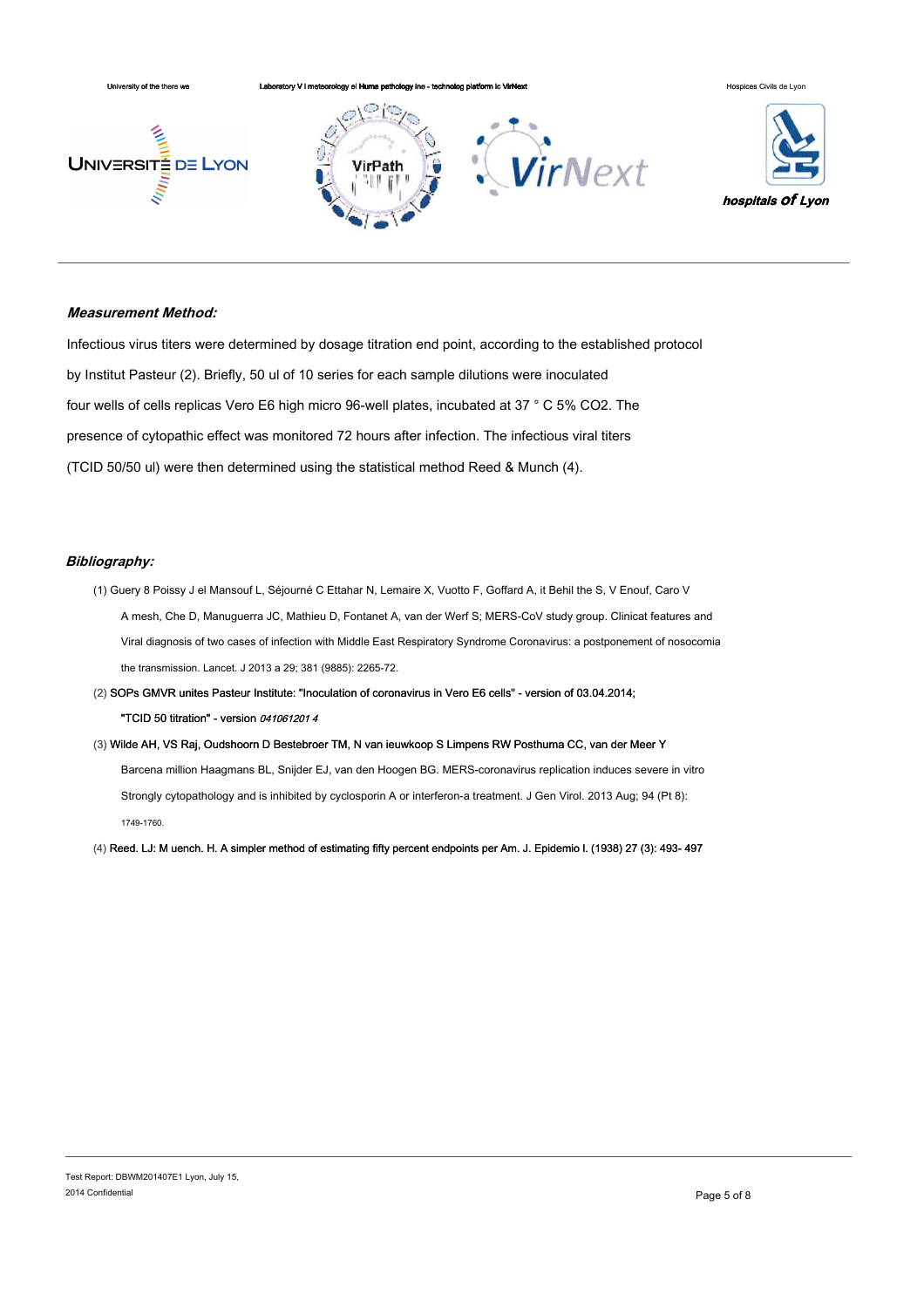

#### **Measurement Method:**

Infectious virus titers were determined by dosage titration end point, according to the established protocol by Institut Pasteur (2). Briefly, 50 ul of 10 series for each sample dilutions were inoculated four wells of cells replicas Vero E6 high micro 96-well plates, incubated at 37 ° C 5% CO2. The presence of cytopathic effect was monitored 72 hours after infection. The infectious viral titers (TCID 50/50 ul) were then determined using the statistical method Reed & Munch (4).

#### **Bibliography:**

- (1) Guery 8 Poissy J el Mansouf L, Séjourné C Ettahar N, Lemaire X, Vuotto F, Goffard A, it Behil the S, V Enouf, Caro V A mesh, Che D, Manuguerra JC, Mathieu D, Fontanet A, van der Werf S; MERS-CoV study group. Clinicat features and Viral diagnosis of two cases of infection with Middle East Respiratory Syndrome Coronavirus: a postponement of nosocomia the transmission. Lancet. J 2013 a 29; 381 (9885): 2265-72.
- (2) SOPs GMVR unites Pasteur Institute: "Inoculation of coronavirus in Vero E6 cells" version of 03.04.2014; "TCID 50 titration" - version 041061201 4
- (3) Wilde AH, VS Raj, Oudshoorn D Bestebroer TM, N van ieuwkoop S Limpens RW Posthuma CC, van der Meer Y Barcena million Haagmans BL, Snijder EJ, van den Hoogen BG. MERS-coronavirus replication induces severe in vitro Strongly cytopathology and is inhibited by cyclosporin A or interferon-a treatment. J Gen Virol. 2013 Aug; 94 (Pt 8): 1749-1760.

(4) Reed. LJ: M uench. H. A simpler method of estimating fifty percent endpoints per Am. J. Epidemio l. (1938) 27 (3): 493- 497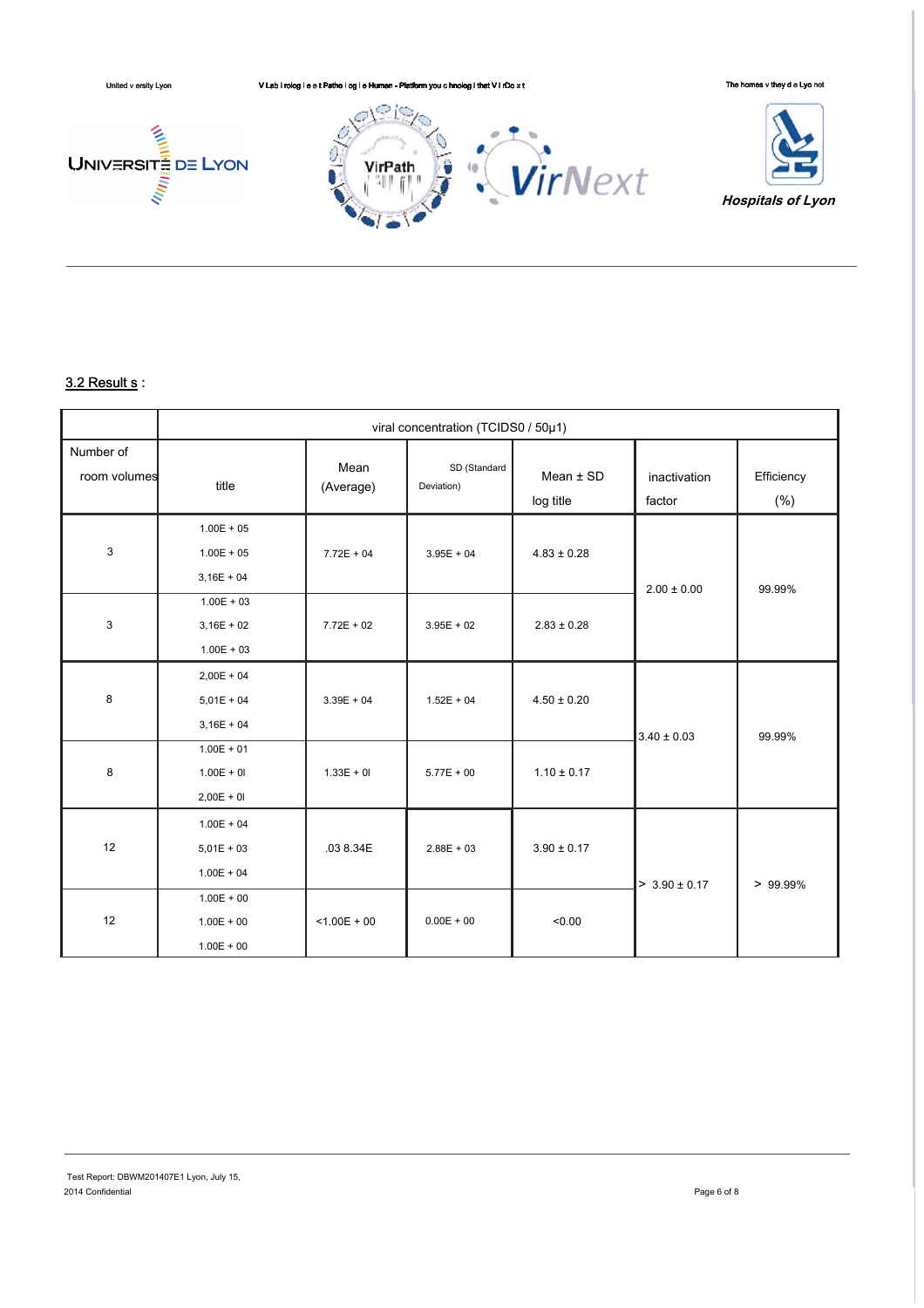

# $3.2$  Result s:

|                           | viral concentration (TCIDS0 / 50µ1)          |                   |                            |                          |                        |                      |
|---------------------------|----------------------------------------------|-------------------|----------------------------|--------------------------|------------------------|----------------------|
| Number of<br>room volumes | title                                        | Mean<br>(Average) | SD (Standard<br>Deviation) | Mean $±$ SD<br>log title | inactivation<br>factor | Efficiency<br>$(\%)$ |
| 3                         | $1.00E + 05$<br>$1.00E + 05$<br>$3,16E + 04$ | $7.72E + 04$      | $3.95E + 04$               | $4.83 \pm 0.28$          | $2.00 \pm 0.00$        | 99.99%               |
| 3                         | $1.00E + 03$<br>$3,16E + 02$<br>$1.00E + 03$ | $7.72E + 02$      | $3.95E + 02$               | $2.83 \pm 0.28$          |                        |                      |
| 8                         | $2,00E + 04$<br>$5,01E + 04$<br>$3,16E + 04$ | $3.39E + 04$      | $1.52E + 04$               | $4.50 \pm 0.20$          | $3.40 \pm 0.03$        | 99.99%               |
| 8                         | $1.00E + 01$<br>$1.00E + 01$<br>$2,00E + 0I$ | $1.33E + 01$      | $5.77E + 00$               | $1.10 \pm 0.17$          |                        |                      |
| 12                        | $1.00E + 04$<br>$5,01E + 03$<br>$1.00E + 04$ | .03 8.34E         | $2.88E + 03$               | $3.90 \pm 0.17$          | $> 3.90 \pm 0.17$      | $> 99.99\%$          |
| 12                        | $1.00E + 00$<br>$1.00E + 00$<br>$1.00E + 00$ | $< 1.00E + 00$    | $0.00E + 00$               | < 0.00                   |                        |                      |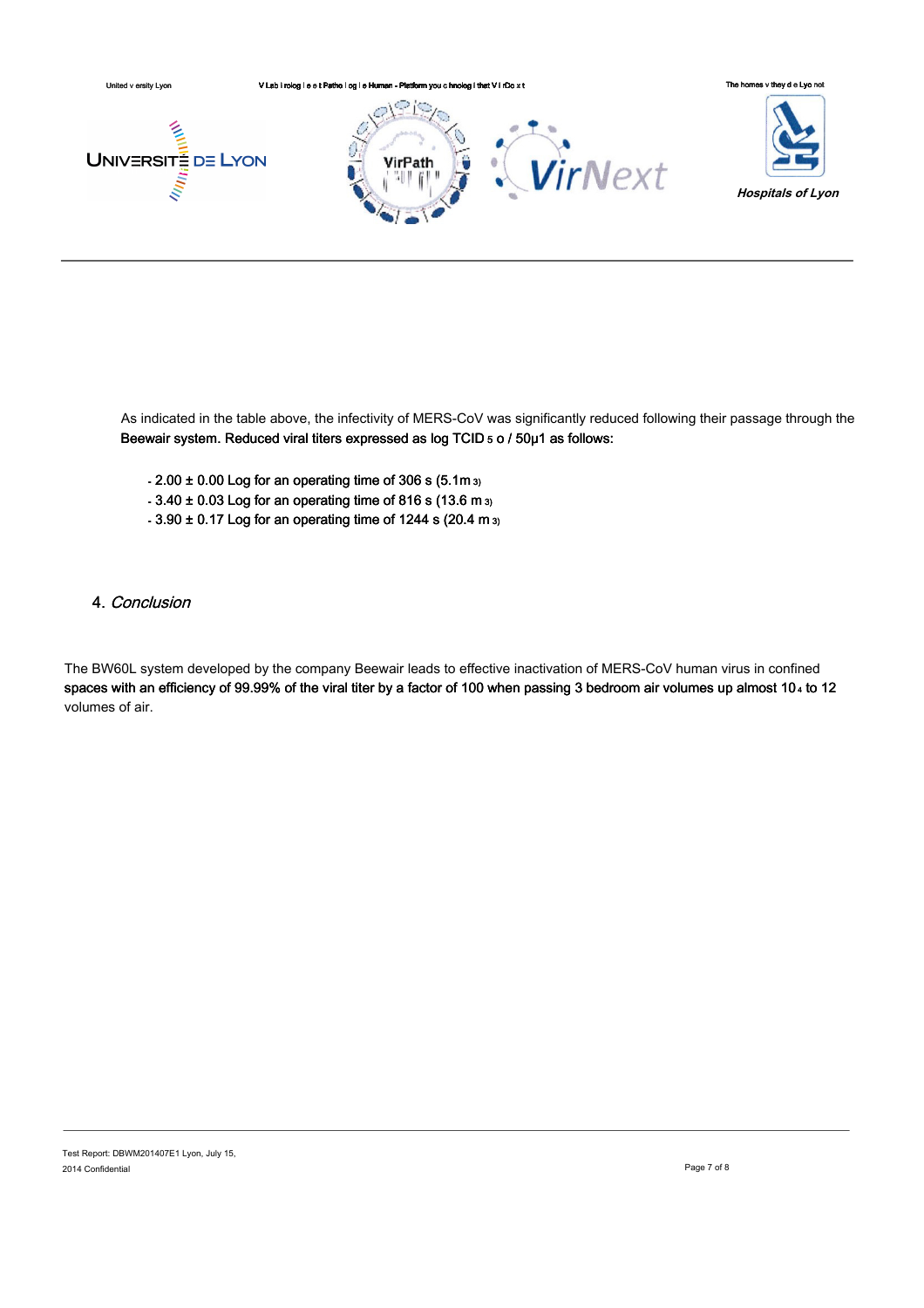

As indicated in the table above, the infectivity of MERS-CoV was significantly reduced following their passage through the Beewair system. Reduced viral titers expressed as log TCID 5 o / 50µ1 as follows:

- $-2.00 \pm 0.00$  Log for an operating time of 306 s (5.1m  $_3$ )
- 3.40 ± 0.03 Log for an operating time of 816 s (13.6 m 3)
- 3.90 ± 0.17 Log for an operating time of 1244 s (20.4 m 3)

# 4. Conclusion

The BW60L system developed by the company Beewair leads to effective inactivation of MERS-CoV human virus in confined spaces with an efficiency of 99.99% of the viral titer by a factor of 100 when passing 3 bedroom air volumes up almost 10 4 to 12 volumes of air.